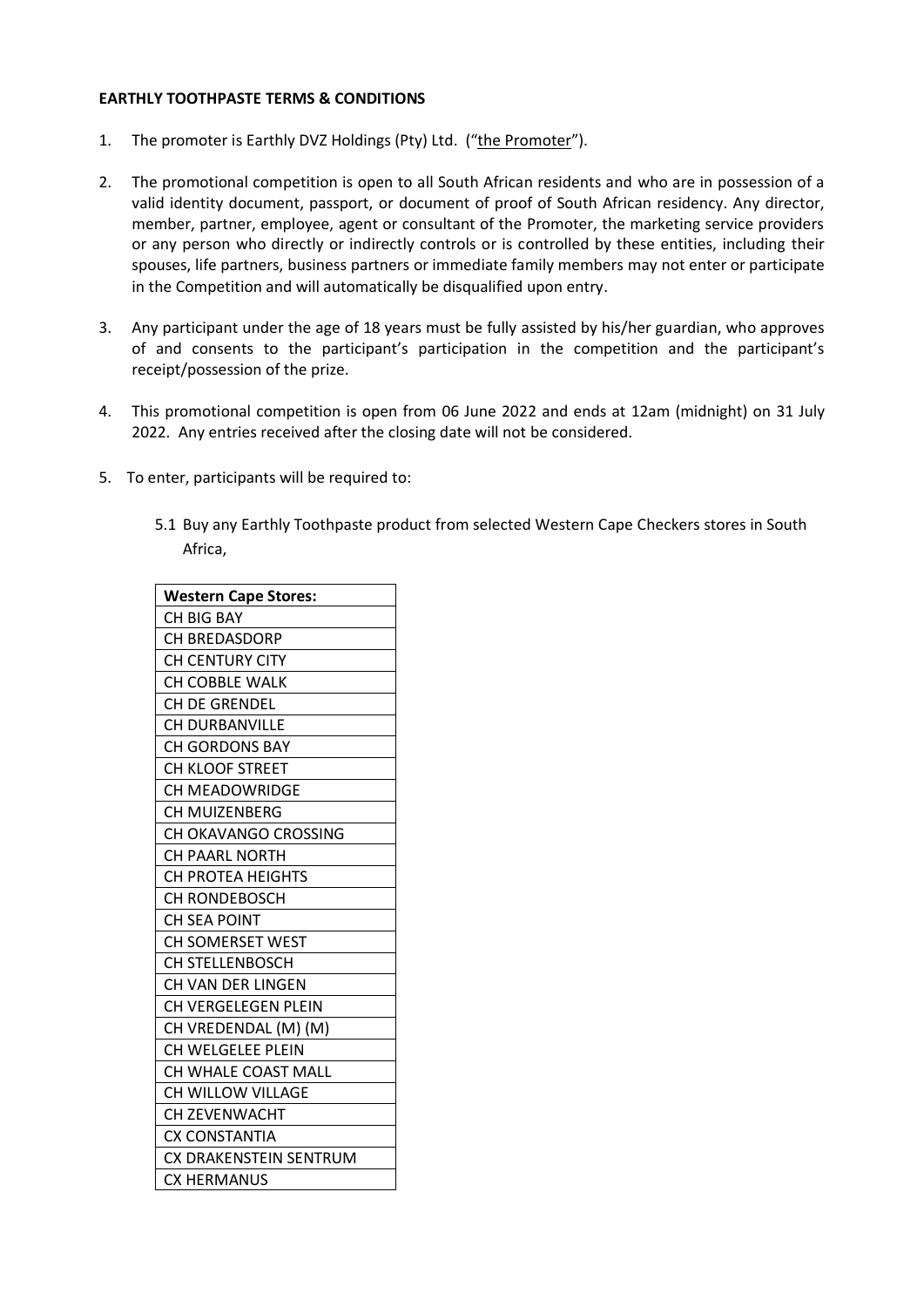## **EARTHLY TOOTHPASTE TERMS & CONDITIONS**

- 1. The promoter is Earthly DVZ Holdings (Pty) Ltd. ("the Promoter").
- 2. The promotional competition is open to all South African residents and who are in possession of a valid identity document, passport, or document of proof of South African residency. Any director, member, partner, employee, agent or consultant of the Promoter, the marketing service providers or any person who directly or indirectly controls or is controlled by these entities, including their spouses, life partners, business partners or immediate family members may not enter or participate in the Competition and will automatically be disqualified upon entry.
- 3. Any participant under the age of 18 years must be fully assisted by his/her guardian, who approves of and consents to the participant's participation in the competition and the participant's receipt/possession of the prize.
- 4. This promotional competition is open from 06 June 2022 and ends at 12am (midnight) on 31 July 2022. Any entries received after the closing date will not be considered.
- 5. To enter, participants will be required to:
	- 5.1 Buy any Earthly Toothpaste product from selected Western Cape Checkers stores in South Africa,

| <b>Western Cape Stores:</b> |
|-----------------------------|
| CH BIG BAY                  |
| <b>CH BREDASDORP</b>        |
| <b>CH CENTURY CITY</b>      |
| <b>CH COBBLE WALK</b>       |
| CH DE GRENDEL               |
| <b>CH DURBANVILLE</b>       |
| <b>CH GORDONS BAY</b>       |
| CH KLOOF STREET             |
| <b>CH MEADOWRIDGE</b>       |
| <b>CH MUIZENBERG</b>        |
| CH OKAVANGO CROSSING        |
| <b>CH PAARL NORTH</b>       |
| <b>CH PROTEA HEIGHTS</b>    |
| CH RONDEBOSCH               |
| <b>CH SEA POINT</b>         |
| <b>CH SOMERSET WEST</b>     |
| <b>CH STELLENBOSCH</b>      |
| CH VAN DER LINGEN           |
| CH VERGELEGEN PLEIN         |
| CH VREDENDAL (M) (M)        |
| CH WELGELEE PLEIN           |
| CH WHALE COAST MALL         |
| CH WILLOW VILLAGE           |
| <b>CH ZEVENWACHT</b>        |
| <b>CX CONSTANTIA</b>        |
| CX DRAKENSTEIN SENTRUM      |
| <b>CX HERMANUS</b>          |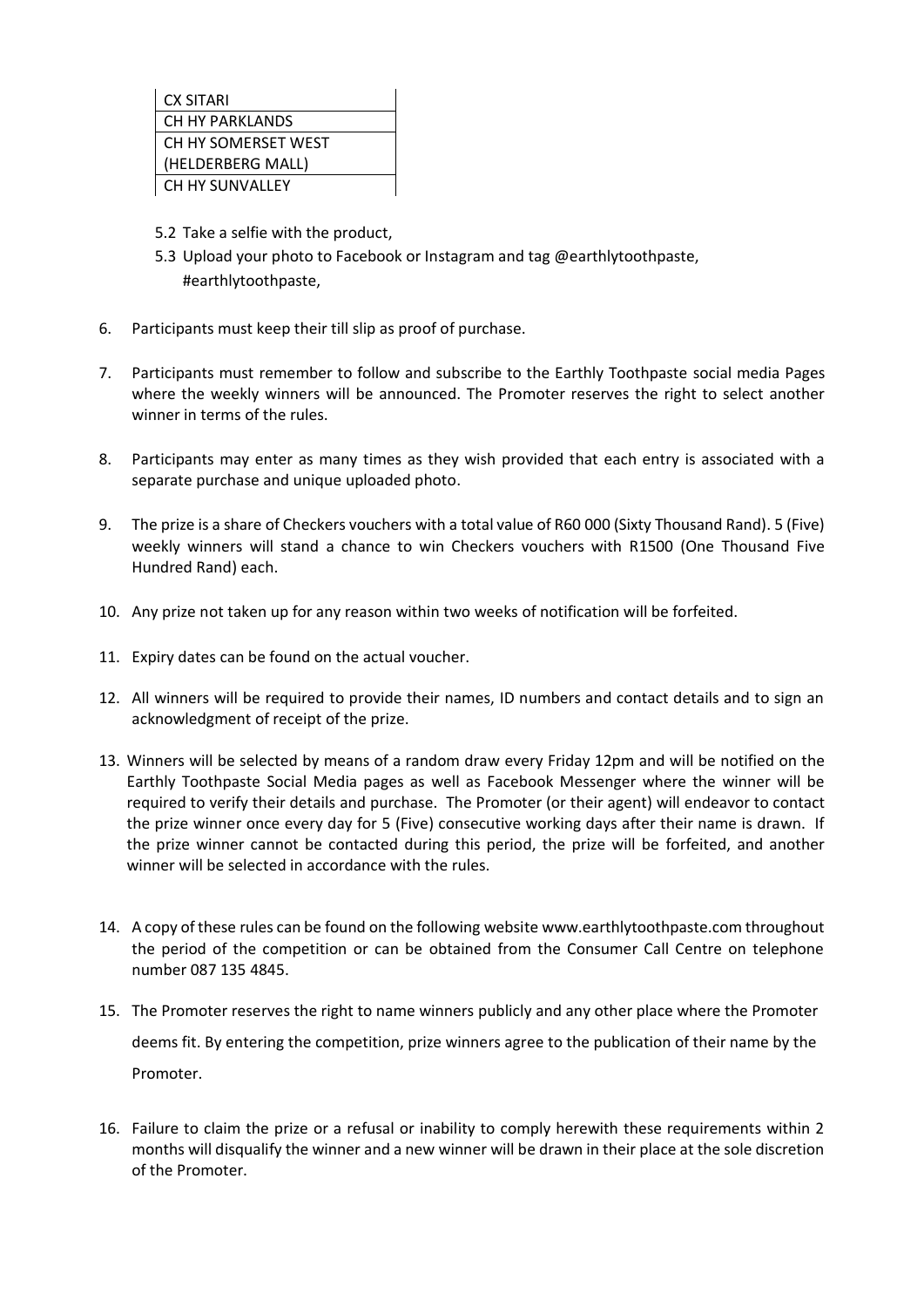

- 5.2 Take a selfie with the product,
- 5.3 Upload your photo to Facebook or Instagram and tag @earthlytoothpaste, #earthlytoothpaste,
- 6. Participants must keep their till slip as proof of purchase.
- 7. Participants must remember to follow and subscribe to the Earthly Toothpaste social media Pages where the weekly winners will be announced. The Promoter reserves the right to select another winner in terms of the rules.
- 8. Participants may enter as many times as they wish provided that each entry is associated with a separate purchase and unique uploaded photo.
- 9. The prize is a share of Checkers vouchers with a total value of R60 000 (Sixty Thousand Rand). 5 (Five) weekly winners will stand a chance to win Checkers vouchers with R1500 (One Thousand Five Hundred Rand) each.
- 10. Any prize not taken up for any reason within two weeks of notification will be forfeited.
- 11. Expiry dates can be found on the actual voucher.
- 12. All winners will be required to provide their names, ID numbers and contact details and to sign an acknowledgment of receipt of the prize.
- 13. Winners will be selected by means of a random draw every Friday 12pm and will be notified on the Earthly Toothpaste Social Media pages as well as Facebook Messenger where the winner will be required to verify their details and purchase. The Promoter (or their agent) will endeavor to contact the prize winner once every day for 5 (Five) consecutive working days after their name is drawn. If the prize winner cannot be contacted during this period, the prize will be forfeited, and another winner will be selected in accordance with the rules.
- 14. A copy of these rules can be found on the following website www.earthlytoothpaste.com throughout the period of the competition or can be obtained from the Consumer Call Centre on telephone number 087 135 4845.
- 15. The Promoter reserves the right to name winners publicly and any other place where the Promoter deems fit. By entering the competition, prize winners agree to the publication of their name by the Promoter.
- 16. Failure to claim the prize or a refusal or inability to comply herewith these requirements within 2 months will disqualify the winner and a new winner will be drawn in their place at the sole discretion of the Promoter.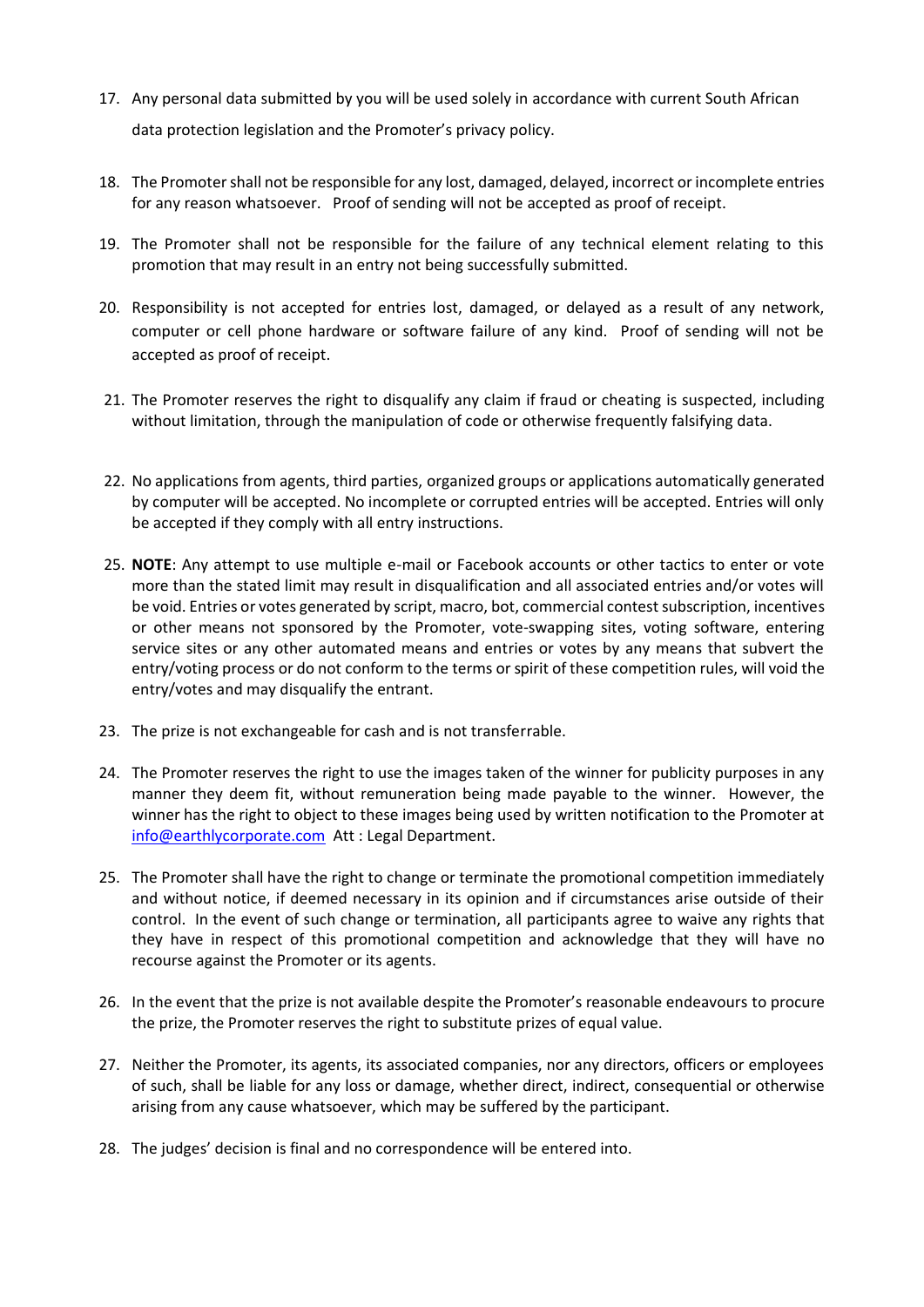- 17. Any personal data submitted by you will be used solely in accordance with current South African data protection legislation and the Promoter's privacy policy.
- 18. The Promoter shall not be responsible for any lost, damaged, delayed, incorrect or incomplete entries for any reason whatsoever. Proof of sending will not be accepted as proof of receipt.
- 19. The Promoter shall not be responsible for the failure of any technical element relating to this promotion that may result in an entry not being successfully submitted.
- 20. Responsibility is not accepted for entries lost, damaged, or delayed as a result of any network, computer or cell phone hardware or software failure of any kind. Proof of sending will not be accepted as proof of receipt.
- 21. The Promoter reserves the right to disqualify any claim if fraud or cheating is suspected, including without limitation, through the manipulation of code or otherwise frequently falsifying data.
- 22. No applications from agents, third parties, organized groups or applications automatically generated by computer will be accepted. No incomplete or corrupted entries will be accepted. Entries will only be accepted if they comply with all entry instructions.
- 25. **NOTE**: Any attempt to use multiple e-mail or Facebook accounts or other tactics to enter or vote more than the stated limit may result in disqualification and all associated entries and/or votes will be void. Entries or votes generated by script, macro, bot, commercial contest subscription, incentives or other means not sponsored by the Promoter, vote-swapping sites, voting software, entering service sites or any other automated means and entries or votes by any means that subvert the entry/voting process or do not conform to the terms or spirit of these competition rules, will void the entry/votes and may disqualify the entrant.
- 23. The prize is not exchangeable for cash and is not transferrable.
- 24. The Promoter reserves the right to use the images taken of the winner for publicity purposes in any manner they deem fit, without remuneration being made payable to the winner. However, the winner has the right to object to these images being used by written notification to the Promoter at [info@earthlycorporate.com](mailto:info@earthlycorporate.com) Att : Legal Department.
- 25. The Promoter shall have the right to change or terminate the promotional competition immediately and without notice, if deemed necessary in its opinion and if circumstances arise outside of their control. In the event of such change or termination, all participants agree to waive any rights that they have in respect of this promotional competition and acknowledge that they will have no recourse against the Promoter or its agents.
- 26. In the event that the prize is not available despite the Promoter's reasonable endeavours to procure the prize, the Promoter reserves the right to substitute prizes of equal value.
- 27. Neither the Promoter, its agents, its associated companies, nor any directors, officers or employees of such, shall be liable for any loss or damage, whether direct, indirect, consequential or otherwise arising from any cause whatsoever, which may be suffered by the participant.
- 28. The judges' decision is final and no correspondence will be entered into.